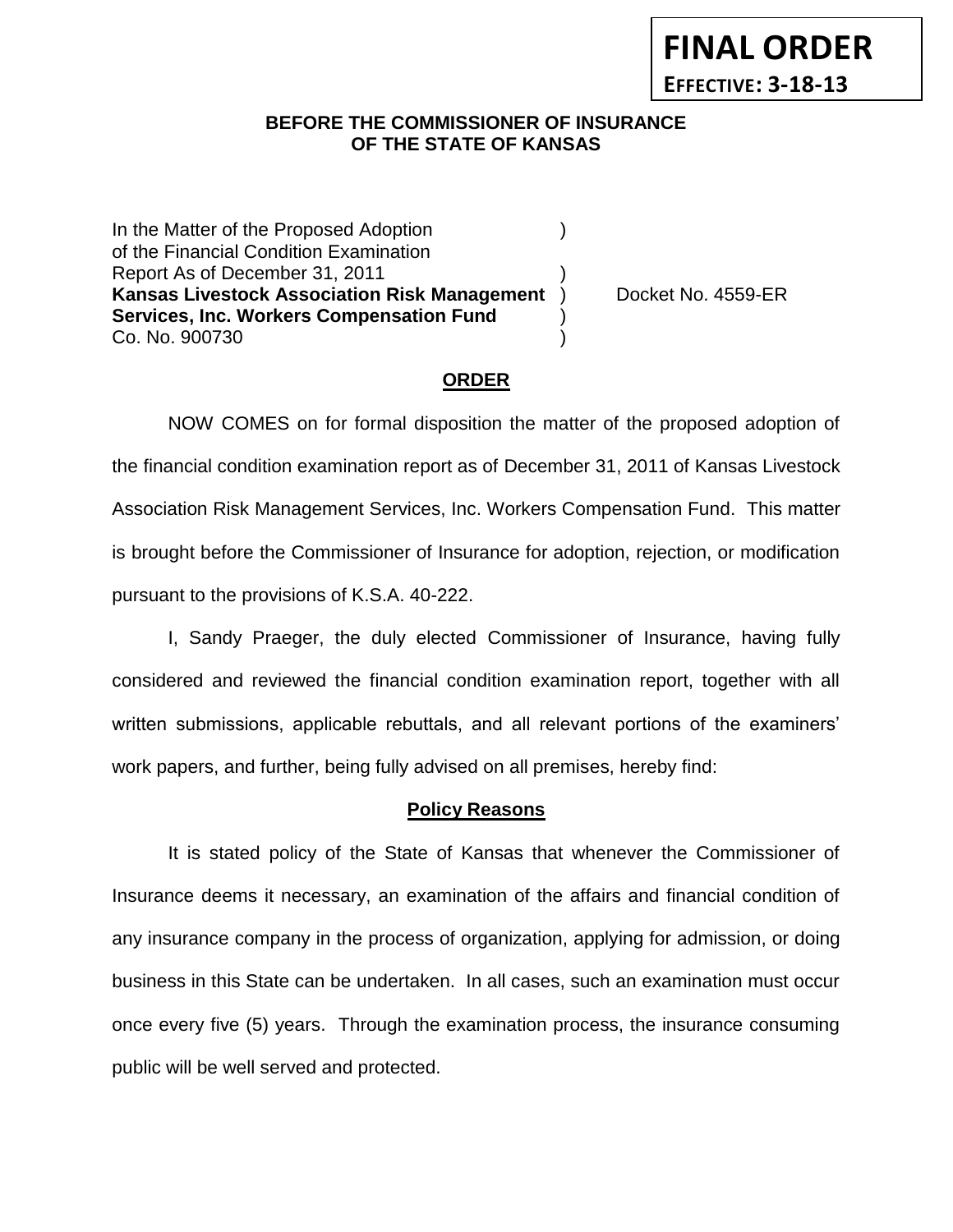**FINAL ORDER EFFECTIVE: 3-18-13**

### **BEFORE THE COMMISSIONER OF INSURANCE** *-12***OF THE STATE OF KANSAS**

In the Matter of the Proposed Adoption (1) of the Financial Condition Examination Report As of December 31, 2011 ) **Kansas Livestock Association Risk Management** ) Docket No. 4559-ER **Services, Inc. Workers Compensation Fund** ) Co. No. 900730 )

### **ORDER**

NOW COMES on for formal disposition the matter of the proposed adoption of the financial condition examination report as of December 31, 2011 of Kansas Livestock Association Risk Management Services, Inc. Workers Compensation Fund. This matter is brought before the Commissioner of Insurance for adoption, rejection, or modification pursuant to the provisions of K.S.A. 40-222.

I, Sandy Praeger, the duly elected Commissioner of Insurance, having fully considered and reviewed the financial condition examination report, together with all written submissions, applicable rebuttals, and all relevant portions of the examiners' work papers, and further, being fully advised on all premises, hereby find:

#### **Policy Reasons**

It is stated policy of the State of Kansas that whenever the Commissioner of Insurance deems it necessary, an examination of the affairs and financial condition of any insurance company in the process of organization, applying for admission, or doing business in this State can be undertaken. In all cases, such an examination must occur once every five (5) years. Through the examination process, the insurance consuming public will be well served and protected.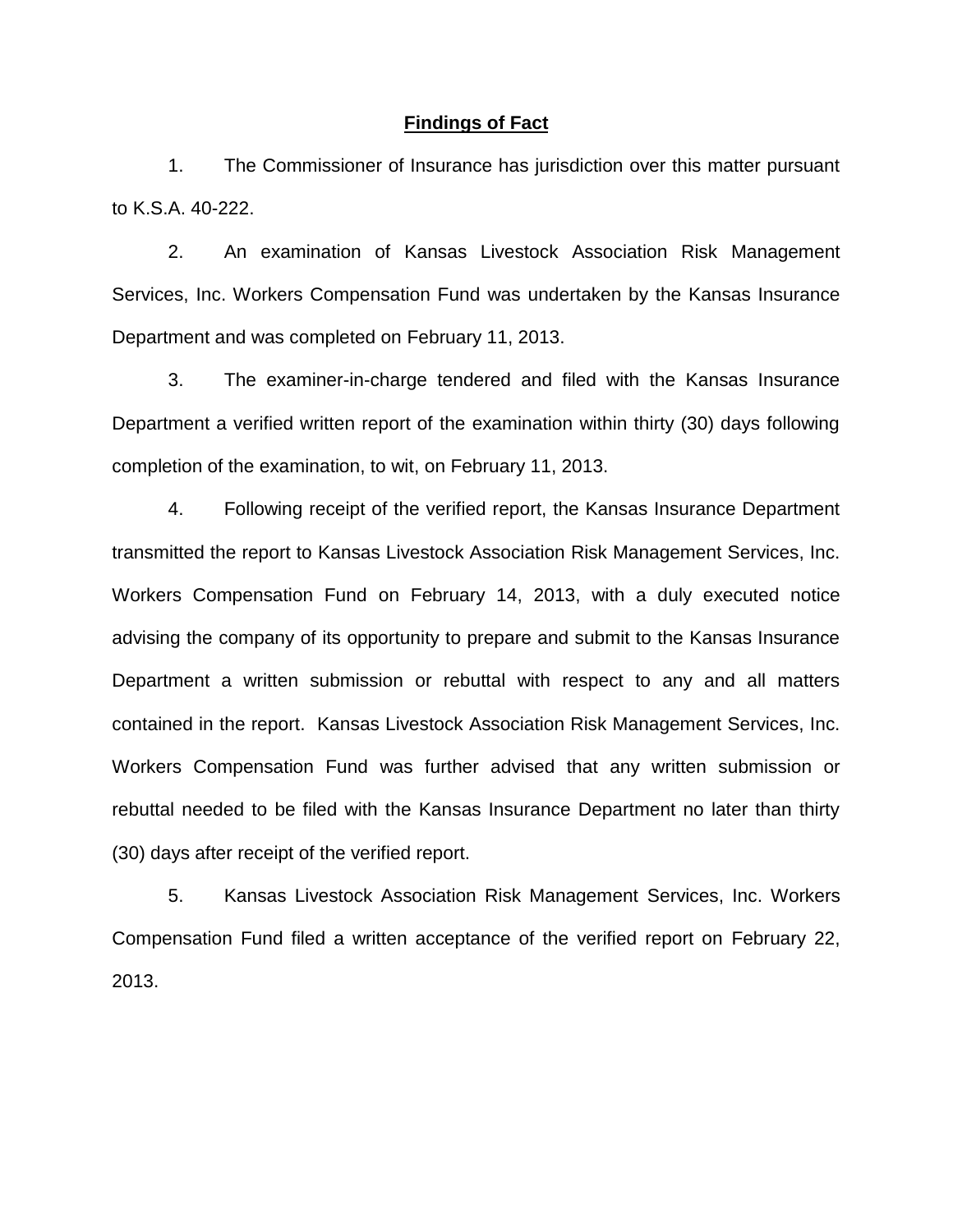#### **Findings of Fact**

1. The Commissioner of Insurance has jurisdiction over this matter pursuant to K.S.A. 40-222.

2. An examination of Kansas Livestock Association Risk Management Services, Inc. Workers Compensation Fund was undertaken by the Kansas Insurance Department and was completed on February 11, 2013.

3. The examiner-in-charge tendered and filed with the Kansas Insurance Department a verified written report of the examination within thirty (30) days following completion of the examination, to wit, on February 11, 2013.

4. Following receipt of the verified report, the Kansas Insurance Department transmitted the report to Kansas Livestock Association Risk Management Services, Inc. Workers Compensation Fund on February 14, 2013, with a duly executed notice advising the company of its opportunity to prepare and submit to the Kansas Insurance Department a written submission or rebuttal with respect to any and all matters contained in the report. Kansas Livestock Association Risk Management Services, Inc. Workers Compensation Fund was further advised that any written submission or rebuttal needed to be filed with the Kansas Insurance Department no later than thirty (30) days after receipt of the verified report.

5. Kansas Livestock Association Risk Management Services, Inc. Workers Compensation Fund filed a written acceptance of the verified report on February 22, 2013.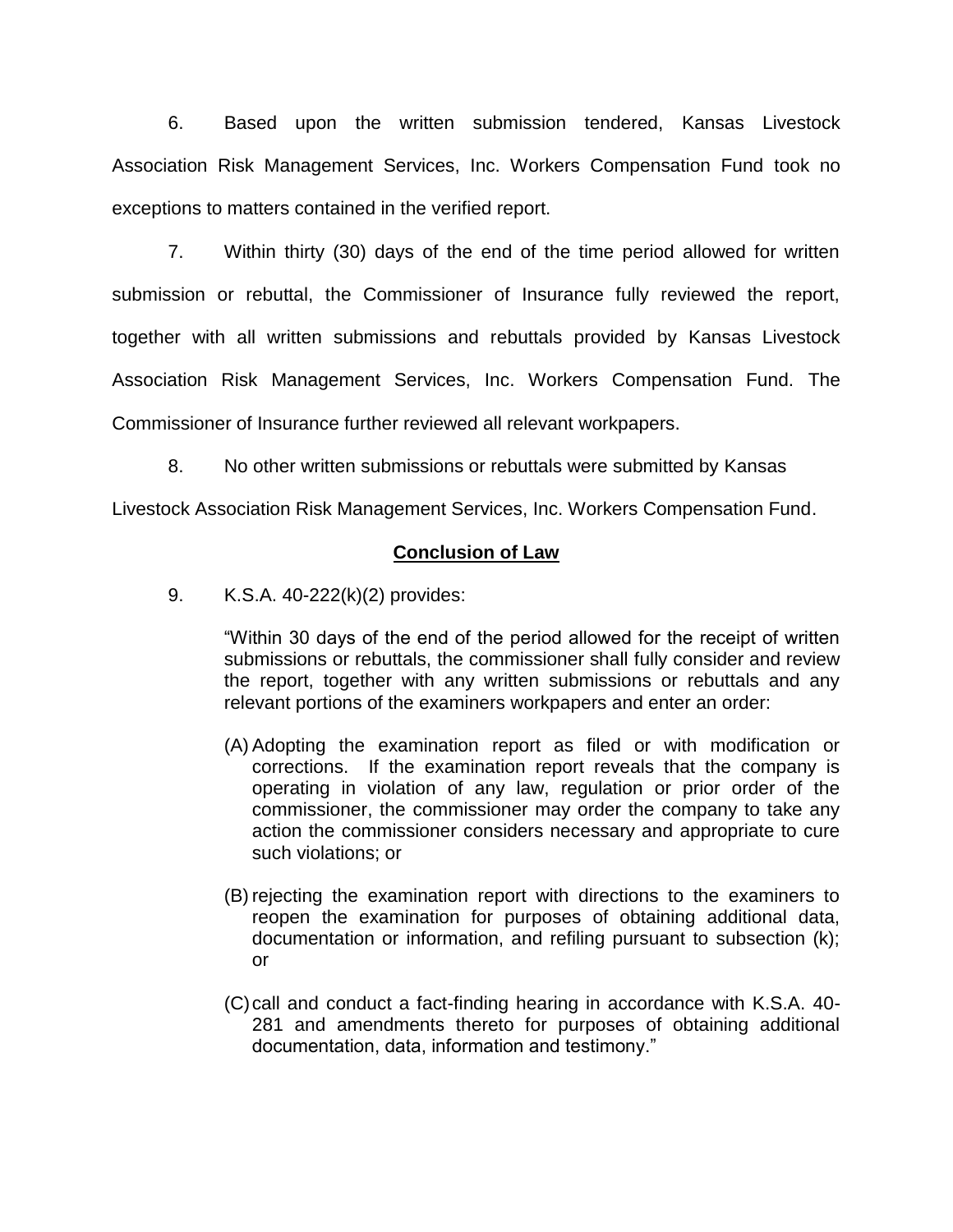6. Based upon the written submission tendered, Kansas Livestock Association Risk Management Services, Inc. Workers Compensation Fund took no exceptions to matters contained in the verified report.

7. Within thirty (30) days of the end of the time period allowed for written submission or rebuttal, the Commissioner of Insurance fully reviewed the report, together with all written submissions and rebuttals provided by Kansas Livestock Association Risk Management Services, Inc. Workers Compensation Fund. The Commissioner of Insurance further reviewed all relevant workpapers.

8. No other written submissions or rebuttals were submitted by Kansas

Livestock Association Risk Management Services, Inc. Workers Compensation Fund.

# **Conclusion of Law**

9. K.S.A. 40-222(k)(2) provides:

"Within 30 days of the end of the period allowed for the receipt of written submissions or rebuttals, the commissioner shall fully consider and review the report, together with any written submissions or rebuttals and any relevant portions of the examiners workpapers and enter an order:

- (A) Adopting the examination report as filed or with modification or corrections. If the examination report reveals that the company is operating in violation of any law, regulation or prior order of the commissioner, the commissioner may order the company to take any action the commissioner considers necessary and appropriate to cure such violations; or
- (B) rejecting the examination report with directions to the examiners to reopen the examination for purposes of obtaining additional data, documentation or information, and refiling pursuant to subsection (k); or
- (C)call and conduct a fact-finding hearing in accordance with K.S.A. 40- 281 and amendments thereto for purposes of obtaining additional documentation, data, information and testimony."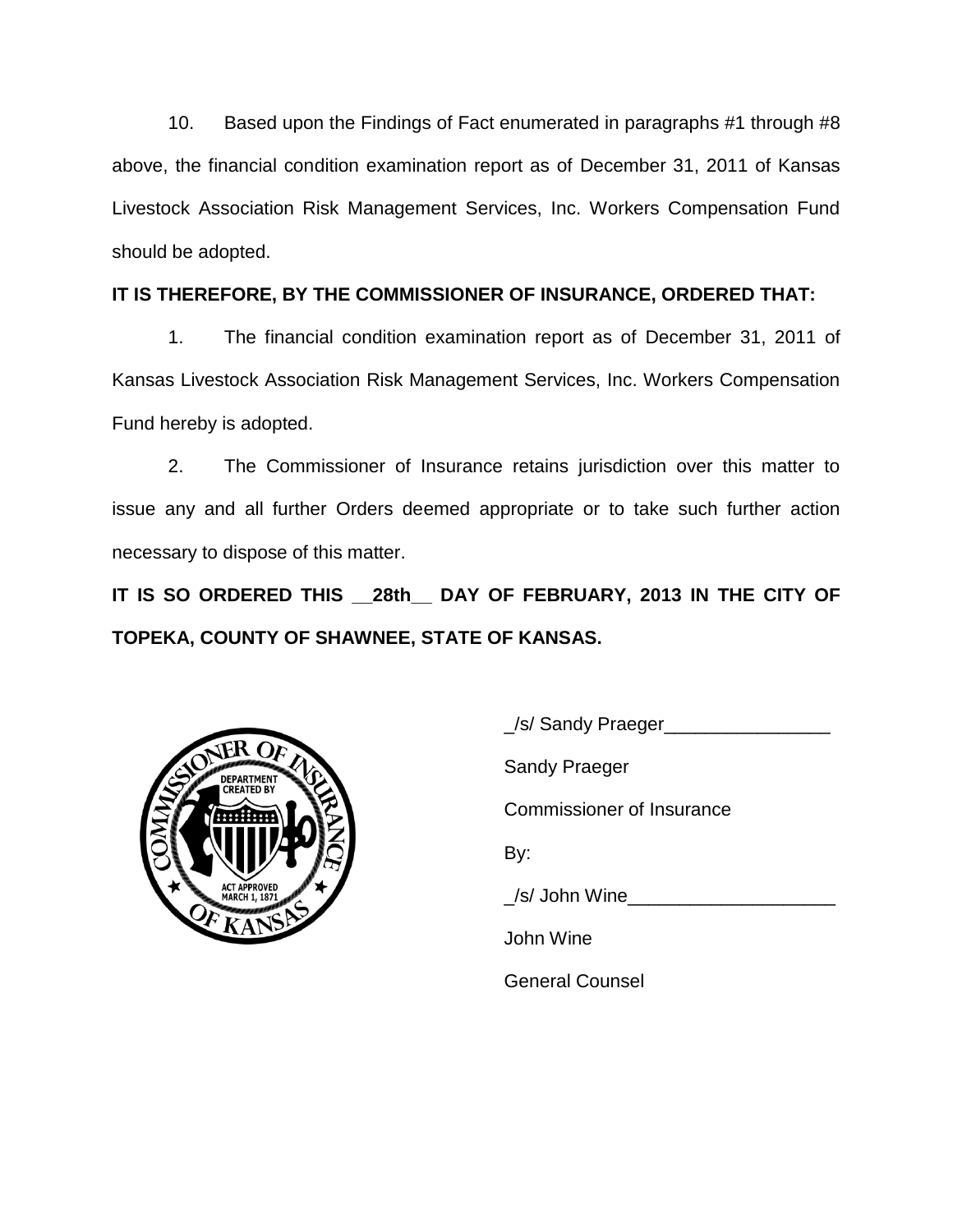10. Based upon the Findings of Fact enumerated in paragraphs #1 through #8 above, the financial condition examination report as of December 31, 2011 of Kansas Livestock Association Risk Management Services, Inc. Workers Compensation Fund should be adopted.

# **IT IS THEREFORE, BY THE COMMISSIONER OF INSURANCE, ORDERED THAT:**

1. The financial condition examination report as of December 31, 2011 of Kansas Livestock Association Risk Management Services, Inc. Workers Compensation Fund hereby is adopted.

2. The Commissioner of Insurance retains jurisdiction over this matter to issue any and all further Orders deemed appropriate or to take such further action necessary to dispose of this matter.

**IT IS SO ORDERED THIS \_\_28th\_\_ DAY OF FEBRUARY, 2013 IN THE CITY OF TOPEKA, COUNTY OF SHAWNEE, STATE OF KANSAS.**



| Sel Sandy Praeger         |
|---------------------------|
| Sandy Praeger             |
| Commissioner of Insurance |
| By:                       |
| /s/ John Wine             |
| John Wine                 |
| <b>General Counsel</b>    |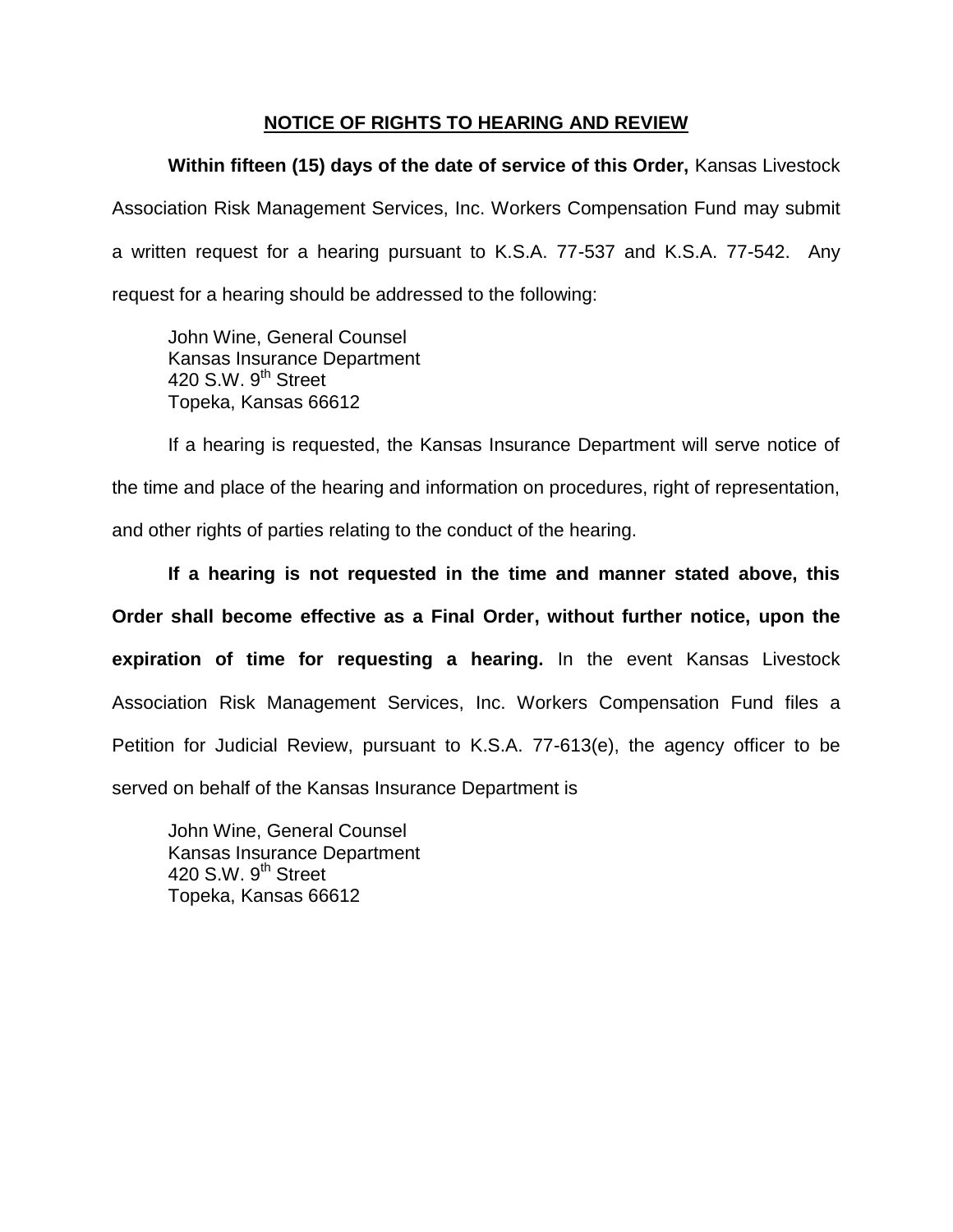# **NOTICE OF RIGHTS TO HEARING AND REVIEW**

**Within fifteen (15) days of the date of service of this Order,** Kansas Livestock Association Risk Management Services, Inc. Workers Compensation Fund may submit a written request for a hearing pursuant to K.S.A. 77-537 and K.S.A. 77-542. Any request for a hearing should be addressed to the following:

John Wine, General Counsel Kansas Insurance Department 420 S.W. 9<sup>th</sup> Street Topeka, Kansas 66612

If a hearing is requested, the Kansas Insurance Department will serve notice of the time and place of the hearing and information on procedures, right of representation, and other rights of parties relating to the conduct of the hearing.

**If a hearing is not requested in the time and manner stated above, this Order shall become effective as a Final Order, without further notice, upon the expiration of time for requesting a hearing.** In the event Kansas Livestock Association Risk Management Services, Inc. Workers Compensation Fund files a Petition for Judicial Review, pursuant to K.S.A. 77-613(e), the agency officer to be served on behalf of the Kansas Insurance Department is

John Wine, General Counsel Kansas Insurance Department 420 S.W.  $9<sup>th</sup>$  Street Topeka, Kansas 66612